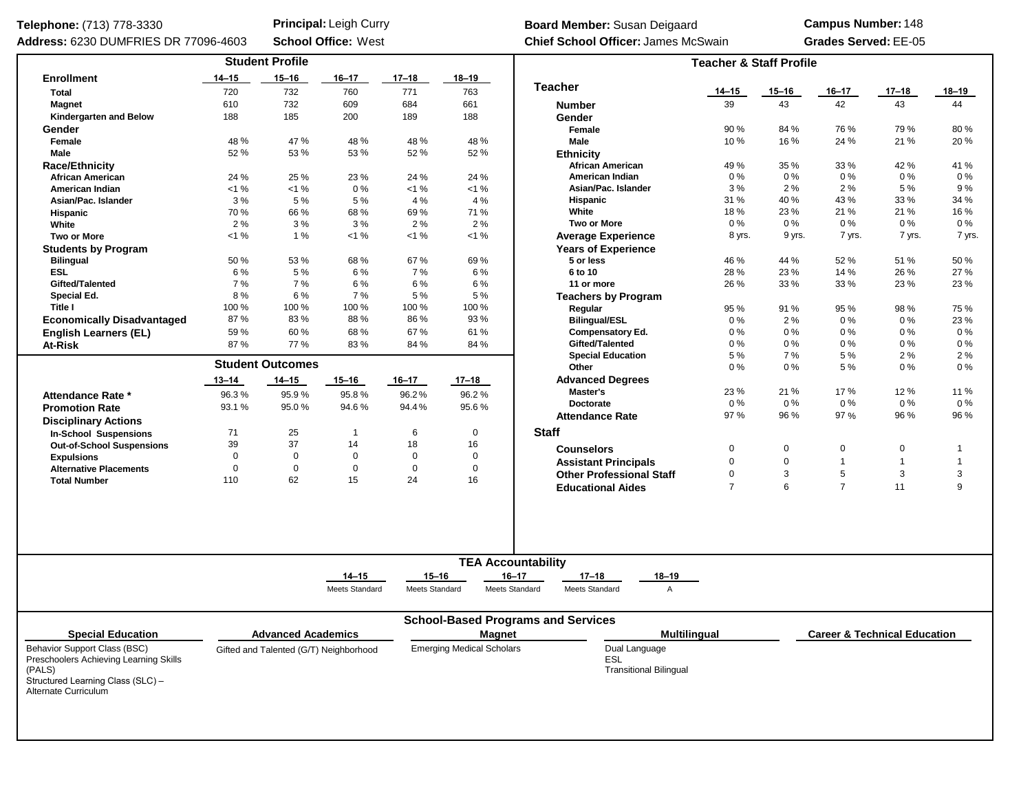## Telephone: (713) 778-3330

**Principal:** Leigh Curry **Board Member:** Susan Deigaard<br> **School Office:** West **Chief School Officer:** James Mc

**Chief School Officer:** James McSwain **Grades Served:** EE-05 **Campus Number:** 148

| Address: 6230 DUMFRIES DR 77096-4603                                                                                                          |                   |                           | <b>School Office: West</b>             |                             |                                  | <b>Chief School Officer: James McSwain</b>                                                |                                    | <b>Grades Served: EE-05</b> |                |                                         |              |  |  |  |
|-----------------------------------------------------------------------------------------------------------------------------------------------|-------------------|---------------------------|----------------------------------------|-----------------------------|----------------------------------|-------------------------------------------------------------------------------------------|------------------------------------|-----------------------------|----------------|-----------------------------------------|--------------|--|--|--|
|                                                                                                                                               |                   | <b>Student Profile</b>    |                                        |                             |                                  |                                                                                           | <b>Teacher &amp; Staff Profile</b> |                             |                |                                         |              |  |  |  |
| <b>Enrollment</b>                                                                                                                             | 14–15             | $15 - 16$                 | $16 - 17$                              | $17 - 18$                   | 18–19                            |                                                                                           |                                    |                             |                |                                         |              |  |  |  |
| <b>Total</b>                                                                                                                                  | 720               | 732                       | 760                                    | 771                         | 763                              | <b>Teacher</b>                                                                            | $14 - 15$                          | $15 - 16$                   | 16–17          | $17 - 18$                               | 18–19        |  |  |  |
| <b>Magnet</b>                                                                                                                                 | 610               | 732                       | 609                                    | 684                         | 661                              | <b>Number</b>                                                                             | 39                                 | 43                          | 42             | 43                                      | 44           |  |  |  |
| Kindergarten and Below                                                                                                                        | 188               | 185                       | 200                                    | 189                         | 188                              | Gender                                                                                    |                                    |                             |                |                                         |              |  |  |  |
| Gender                                                                                                                                        |                   |                           |                                        |                             |                                  | Female                                                                                    | 90%                                | 84 %                        | 76 %           | 79 %                                    | 80%          |  |  |  |
| Female                                                                                                                                        | 48 %              | 47%                       | 48 %                                   | 48 %                        | 48 %                             | Male                                                                                      | 10%                                | 16%                         | 24 %           | 21 %                                    | 20%          |  |  |  |
| Male                                                                                                                                          | 52%               | 53%                       | 53 %                                   | 52 %                        | 52 %                             | <b>Ethnicity</b>                                                                          |                                    |                             |                |                                         |              |  |  |  |
| <b>Race/Ethnicity</b>                                                                                                                         |                   |                           |                                        |                             |                                  | <b>African American</b>                                                                   | 49 %                               | 35 %                        | 33 %           | 42 %                                    | 41 %         |  |  |  |
| <b>African American</b>                                                                                                                       | 24 %              | 25 %                      | 23 %                                   | 24 %                        | 24 %                             | American Indian                                                                           | 0%                                 | $0\%$                       | 0%             | $0\%$                                   | 0%           |  |  |  |
| American Indian                                                                                                                               | $< 1 \%$          | $< 1 \%$                  | 0%                                     | $< 1 \%$                    | $< 1 \%$                         | Asian/Pac. Islander                                                                       | 3%                                 | 2%                          | 2%             | 5 %                                     | 9%           |  |  |  |
| Asian/Pac. Islander                                                                                                                           | 3%                | 5%                        | 5 %                                    | 4 %                         | 4 %                              | Hispanic                                                                                  | 31 %                               | 40 %                        | 43 %           | 33 %                                    | 34 %         |  |  |  |
| Hispanic                                                                                                                                      | 70%               | 66 %                      | 68%                                    | 69%                         | 71 %                             | White                                                                                     | 18%                                | 23 %                        | 21 %           | 21 %                                    | 16 %         |  |  |  |
| White                                                                                                                                         | 2%                | 3%                        | 3%                                     | 2%                          | 2%                               | Two or More                                                                               | $0\%$                              | 0%                          | $0\%$          | $0\%$                                   | $0\%$        |  |  |  |
| <b>Two or More</b>                                                                                                                            | $< 1 \%$          | 1%                        | $< 1 \%$                               | $< 1 \%$                    | $< 1 \%$                         | <b>Average Experience</b>                                                                 | 8 yrs.                             | 9 yrs.                      | 7 yrs.         | 7 yrs.                                  | 7 yrs.       |  |  |  |
| <b>Students by Program</b>                                                                                                                    |                   |                           |                                        |                             |                                  | <b>Years of Experience</b>                                                                |                                    |                             |                |                                         |              |  |  |  |
| <b>Bilingual</b>                                                                                                                              | 50%               | 53%                       | 68%                                    | 67%                         | 69%                              | 5 or less                                                                                 | 46 %                               | 44 %                        | 52 %           | 51 %                                    | 50 %         |  |  |  |
| <b>ESL</b>                                                                                                                                    | 6%                | 5 %                       | 6 %                                    | 7 %                         | 6 %                              | 6 to 10                                                                                   | 28 %                               | 23 %                        | 14 %           | 26 %                                    | 27 %         |  |  |  |
| Gifted/Talented                                                                                                                               | 7%                | 7%                        | 6%                                     | 6 %                         | 6 %                              | 11 or more                                                                                | 26 %                               | 33 %                        | 33 %           | 23 %                                    | 23 %         |  |  |  |
| Special Ed.                                                                                                                                   | 8%                | 6%                        | 7%                                     | 5 %                         | 5%                               | <b>Teachers by Program</b>                                                                |                                    |                             |                |                                         |              |  |  |  |
| Title I                                                                                                                                       | 100 %             | 100 %                     | 100%                                   | 100 %                       | 100 %                            | Regular                                                                                   | 95 %                               | 91 %                        | 95 %           | 98 %                                    | 75 %         |  |  |  |
| <b>Economically Disadvantaged</b>                                                                                                             | 87%               | 83%                       | 88%                                    | 86 %                        | 93 %                             | <b>Bilingual/ESL</b>                                                                      | 0%                                 | 2%                          | 0%             | $0\%$                                   | 23 %         |  |  |  |
| <b>English Learners (EL)</b>                                                                                                                  | 59%               | 60%                       | 68%                                    | 67%                         | 61%                              | <b>Compensatory Ed.</b>                                                                   | $0\%$                              | $0\%$                       | 0%             | $0\%$                                   | $0\%$        |  |  |  |
| <b>At-Risk</b>                                                                                                                                | 87%               | 77%                       | 83%                                    | 84 %                        | 84 %                             | Gifted/Talented                                                                           | $0\%$                              | $0\%$                       | 0%             | $0\%$                                   | 0%           |  |  |  |
|                                                                                                                                               |                   |                           |                                        |                             |                                  | <b>Special Education</b>                                                                  | 5 %                                | 7%                          | 5 %            | 2%                                      | 2%           |  |  |  |
|                                                                                                                                               |                   | <b>Student Outcomes</b>   |                                        |                             |                                  | Other                                                                                     | $0\%$                              | $0\%$                       | 5 %            | $0\%$                                   | 0 %          |  |  |  |
|                                                                                                                                               | $13 - 14$         | 14–15                     | $15 - 16$                              | $16 - 17$                   | $17 - 18$                        | <b>Advanced Degrees</b>                                                                   |                                    |                             |                |                                         |              |  |  |  |
| Attendance Rate *                                                                                                                             | 96.3%             | 95.9%                     | 95.8%                                  | 96.2%<br>94.4%              | 96.2%                            | Master's                                                                                  | 23%                                | 21 %                        | 17%            | 12 %                                    | 11 %         |  |  |  |
| <b>Promotion Rate</b>                                                                                                                         | 93.1 %            | 95.0%                     | 94.6%                                  |                             | 95.6%                            | Doctorate                                                                                 | $0\%$                              | $0\%$                       | 0%             | $0\%$                                   | $0\%$        |  |  |  |
|                                                                                                                                               |                   |                           |                                        |                             |                                  | <b>Attendance Rate</b>                                                                    | 97%                                | 96 %                        | 97 %           | 96 %                                    | 96 %         |  |  |  |
| <b>Disciplinary Actions</b>                                                                                                                   |                   |                           |                                        |                             | 0                                | <b>Staff</b>                                                                              |                                    |                             |                |                                         |              |  |  |  |
| <b>In-School Suspensions</b>                                                                                                                  | 71                | 25<br>37                  | $\overline{1}$<br>14                   | 6<br>18                     |                                  |                                                                                           |                                    |                             |                |                                         |              |  |  |  |
| <b>Out-of-School Suspensions</b>                                                                                                              | 39<br>$\mathbf 0$ | $\mathbf 0$               | $\mathbf 0$                            | $\mathbf 0$                 | 16<br>$\mathbf 0$                | <b>Counselors</b>                                                                         | $\mathbf 0$                        | 0                           | $\mathbf 0$    | 0                                       | $\mathbf{1}$ |  |  |  |
| <b>Expulsions</b>                                                                                                                             | $\mathbf 0$       | $\mathbf 0$               |                                        |                             | 0                                | <b>Assistant Principals</b>                                                               | $\mathbf 0$                        | $\mathbf 0$                 | $\mathbf{1}$   | $\mathbf{1}$                            | $\mathbf{1}$ |  |  |  |
| <b>Alternative Placements</b>                                                                                                                 | 110               | 62                        | $\mathbf 0$<br>15                      | $\mathbf 0$<br>24           | 16                               | <b>Other Professional Staff</b>                                                           | $\pmb{0}$                          | 3                           | 5              | 3                                       | $\mathbf{3}$ |  |  |  |
| <b>Total Number</b>                                                                                                                           |                   |                           |                                        |                             |                                  | <b>Educational Aides</b>                                                                  | $\overline{7}$                     | 6                           | $\overline{7}$ | 11                                      | 9            |  |  |  |
|                                                                                                                                               |                   |                           |                                        |                             |                                  |                                                                                           |                                    |                             |                |                                         |              |  |  |  |
|                                                                                                                                               |                   |                           |                                        |                             |                                  | <b>TEA Accountability</b>                                                                 |                                    |                             |                |                                         |              |  |  |  |
|                                                                                                                                               |                   |                           | $14 - 15$<br>Meets Standard            | $15 - 16$<br>Meets Standard |                                  | $16 - 17$<br>$17 - 18$<br>$18 - 19$<br>Meets Standard<br>Meets Standard<br>$\overline{A}$ |                                    |                             |                |                                         |              |  |  |  |
|                                                                                                                                               |                   |                           |                                        |                             |                                  | <b>School-Based Programs and Services</b>                                                 |                                    |                             |                |                                         |              |  |  |  |
| <b>Special Education</b>                                                                                                                      |                   | <b>Advanced Academics</b> |                                        |                             | <b>Magnet</b>                    | <b>Multilingual</b>                                                                       |                                    |                             |                | <b>Career &amp; Technical Education</b> |              |  |  |  |
| Behavior Support Class (BSC)<br>Preschoolers Achieving Learning Skills<br>(PALS)<br>Structured Learning Class (SLC) -<br>Alternate Curriculum |                   |                           | Gifted and Talented (G/T) Neighborhood |                             | <b>Emerging Medical Scholars</b> | Dual Language<br>ESL<br><b>Transitional Bilingual</b>                                     |                                    |                             |                |                                         |              |  |  |  |
|                                                                                                                                               |                   |                           |                                        |                             |                                  |                                                                                           |                                    |                             |                |                                         |              |  |  |  |